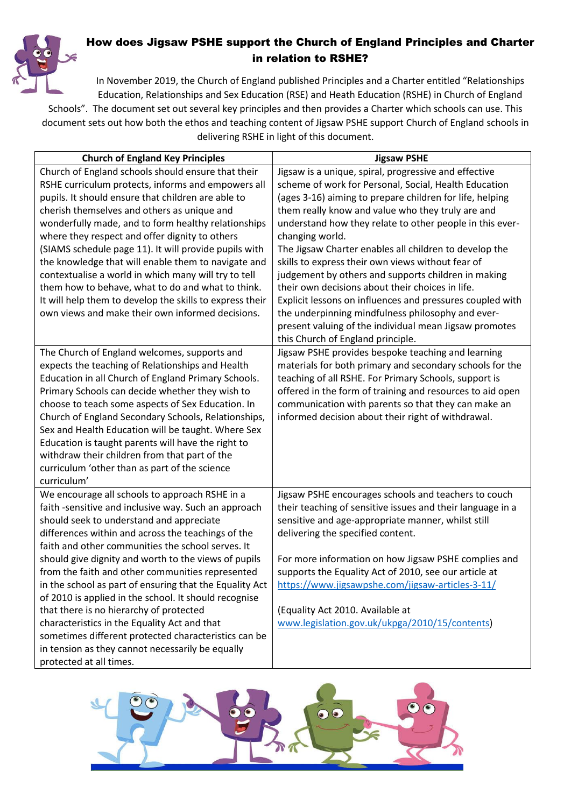

## How does Jigsaw PSHE support the Church of England Principles and Charter in relation to RSHE?

In November 2019, the Church of England published Principles and a Charter entitled "Relationships Education, Relationships and Sex Education (RSE) and Heath Education (RSHE) in Church of England Schools". The document set out several key principles and then provides a Charter which schools can use. This document sets out how both the ethos and teaching content of Jigsaw PSHE support Church of England schools in delivering RSHE in light of this document.

| <b>Church of England Key Principles</b>                                                                                                                                                                                                                                                                                                                                                                                                                                                                                                                                                                                                                                                                                        | <b>Jigsaw PSHE</b>                                                                                                                                                                                                                                                                                                                                                                                                                                                                                                                                                                                                                                                                                                                                        |
|--------------------------------------------------------------------------------------------------------------------------------------------------------------------------------------------------------------------------------------------------------------------------------------------------------------------------------------------------------------------------------------------------------------------------------------------------------------------------------------------------------------------------------------------------------------------------------------------------------------------------------------------------------------------------------------------------------------------------------|-----------------------------------------------------------------------------------------------------------------------------------------------------------------------------------------------------------------------------------------------------------------------------------------------------------------------------------------------------------------------------------------------------------------------------------------------------------------------------------------------------------------------------------------------------------------------------------------------------------------------------------------------------------------------------------------------------------------------------------------------------------|
| Church of England schools should ensure that their<br>RSHE curriculum protects, informs and empowers all<br>pupils. It should ensure that children are able to<br>cherish themselves and others as unique and<br>wonderfully made, and to form healthy relationships<br>where they respect and offer dignity to others<br>(SIAMS schedule page 11). It will provide pupils with<br>the knowledge that will enable them to navigate and<br>contextualise a world in which many will try to tell<br>them how to behave, what to do and what to think.<br>It will help them to develop the skills to express their<br>own views and make their own informed decisions.                                                            | Jigsaw is a unique, spiral, progressive and effective<br>scheme of work for Personal, Social, Health Education<br>(ages 3-16) aiming to prepare children for life, helping<br>them really know and value who they truly are and<br>understand how they relate to other people in this ever-<br>changing world.<br>The Jigsaw Charter enables all children to develop the<br>skills to express their own views without fear of<br>judgement by others and supports children in making<br>their own decisions about their choices in life.<br>Explicit lessons on influences and pressures coupled with<br>the underpinning mindfulness philosophy and ever-<br>present valuing of the individual mean Jigsaw promotes<br>this Church of England principle. |
| The Church of England welcomes, supports and<br>expects the teaching of Relationships and Health<br>Education in all Church of England Primary Schools.<br>Primary Schools can decide whether they wish to<br>choose to teach some aspects of Sex Education. In<br>Church of England Secondary Schools, Relationships,<br>Sex and Health Education will be taught. Where Sex<br>Education is taught parents will have the right to<br>withdraw their children from that part of the<br>curriculum 'other than as part of the science<br>curriculum'                                                                                                                                                                            | Jigsaw PSHE provides bespoke teaching and learning<br>materials for both primary and secondary schools for the<br>teaching of all RSHE. For Primary Schools, support is<br>offered in the form of training and resources to aid open<br>communication with parents so that they can make an<br>informed decision about their right of withdrawal.                                                                                                                                                                                                                                                                                                                                                                                                         |
| We encourage all schools to approach RSHE in a<br>faith-sensitive and inclusive way. Such an approach<br>should seek to understand and appreciate<br>differences within and across the teachings of the<br>faith and other communities the school serves. It<br>should give dignity and worth to the views of pupils<br>from the faith and other communities represented<br>in the school as part of ensuring that the Equality Act<br>of 2010 is applied in the school. It should recognise<br>that there is no hierarchy of protected<br>characteristics in the Equality Act and that<br>sometimes different protected characteristics can be<br>in tension as they cannot necessarily be equally<br>protected at all times. | Jigsaw PSHE encourages schools and teachers to couch<br>their teaching of sensitive issues and their language in a<br>sensitive and age-appropriate manner, whilst still<br>delivering the specified content.<br>For more information on how Jigsaw PSHE complies and<br>supports the Equality Act of 2010, see our article at<br>https://www.jigsawpshe.com/jigsaw-articles-3-11/<br>(Equality Act 2010. Available at<br>www.legislation.gov.uk/ukpga/2010/15/contents)                                                                                                                                                                                                                                                                                  |

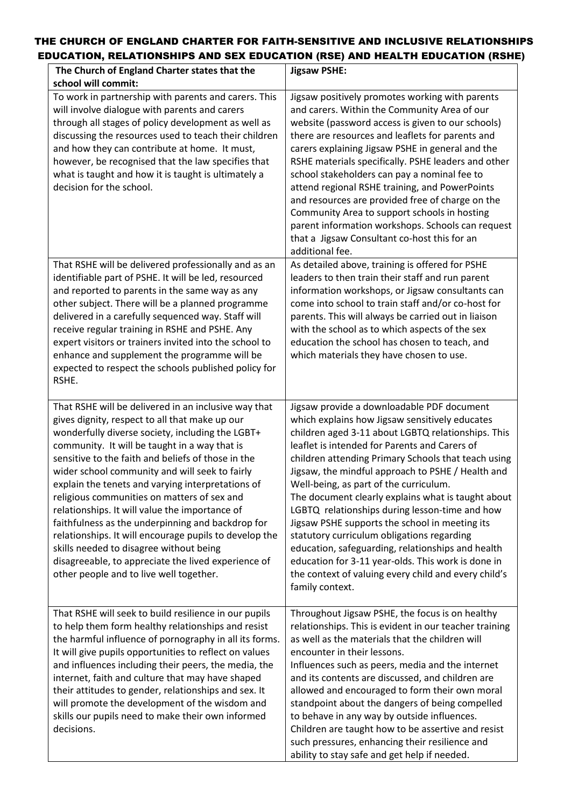## THE CHURCH OF ENGLAND CHARTER FOR FAITH-SENSITIVE AND INCLUSIVE RELATIONSHIPS EDUCATION, RELATIONSHIPS AND SEX EDUCATION (RSE) AND HEALTH EDUCATION (RSHE)

| The Church of England Charter states that the<br>school will commit:                                                                                                                                                                                                                                                                                                                                                                                                                                                                                                                                                                                                                                                                  | <b>Jigsaw PSHE:</b>                                                                                                                                                                                                                                                                                                                                                                                                                                                                                                                                                                                                                                                                                                                                     |
|---------------------------------------------------------------------------------------------------------------------------------------------------------------------------------------------------------------------------------------------------------------------------------------------------------------------------------------------------------------------------------------------------------------------------------------------------------------------------------------------------------------------------------------------------------------------------------------------------------------------------------------------------------------------------------------------------------------------------------------|---------------------------------------------------------------------------------------------------------------------------------------------------------------------------------------------------------------------------------------------------------------------------------------------------------------------------------------------------------------------------------------------------------------------------------------------------------------------------------------------------------------------------------------------------------------------------------------------------------------------------------------------------------------------------------------------------------------------------------------------------------|
| To work in partnership with parents and carers. This<br>will involve dialogue with parents and carers<br>through all stages of policy development as well as<br>discussing the resources used to teach their children<br>and how they can contribute at home. It must,<br>however, be recognised that the law specifies that<br>what is taught and how it is taught is ultimately a<br>decision for the school.                                                                                                                                                                                                                                                                                                                       | Jigsaw positively promotes working with parents<br>and carers. Within the Community Area of our<br>website (password access is given to our schools)<br>there are resources and leaflets for parents and<br>carers explaining Jigsaw PSHE in general and the<br>RSHE materials specifically. PSHE leaders and other<br>school stakeholders can pay a nominal fee to<br>attend regional RSHE training, and PowerPoints<br>and resources are provided free of charge on the<br>Community Area to support schools in hosting<br>parent information workshops. Schools can request<br>that a Jigsaw Consultant co-host this for an<br>additional fee.                                                                                                       |
| That RSHE will be delivered professionally and as an<br>identifiable part of PSHE. It will be led, resourced<br>and reported to parents in the same way as any<br>other subject. There will be a planned programme<br>delivered in a carefully sequenced way. Staff will<br>receive regular training in RSHE and PSHE. Any<br>expert visitors or trainers invited into the school to<br>enhance and supplement the programme will be<br>expected to respect the schools published policy for<br>RSHE.                                                                                                                                                                                                                                 | As detailed above, training is offered for PSHE<br>leaders to then train their staff and run parent<br>information workshops, or Jigsaw consultants can<br>come into school to train staff and/or co-host for<br>parents. This will always be carried out in liaison<br>with the school as to which aspects of the sex<br>education the school has chosen to teach, and<br>which materials they have chosen to use.                                                                                                                                                                                                                                                                                                                                     |
| That RSHE will be delivered in an inclusive way that<br>gives dignity, respect to all that make up our<br>wonderfully diverse society, including the LGBT+<br>community. It will be taught in a way that is<br>sensitive to the faith and beliefs of those in the<br>wider school community and will seek to fairly<br>explain the tenets and varying interpretations of<br>religious communities on matters of sex and<br>relationships. It will value the importance of<br>faithfulness as the underpinning and backdrop for<br>relationships. It will encourage pupils to develop the<br>skills needed to disagree without being<br>disagreeable, to appreciate the lived experience of<br>other people and to live well together. | Jigsaw provide a downloadable PDF document<br>which explains how Jigsaw sensitively educates<br>children aged 3-11 about LGBTQ relationships. This<br>leaflet is intended for Parents and Carers of<br>children attending Primary Schools that teach using<br>Jigsaw, the mindful approach to PSHE / Health and<br>Well-being, as part of the curriculum.<br>The document clearly explains what is taught about<br>LGBTQ relationships during lesson-time and how<br>Jigsaw PSHE supports the school in meeting its<br>statutory curriculum obligations regarding<br>education, safeguarding, relationships and health<br>education for 3-11 year-olds. This work is done in<br>the context of valuing every child and every child's<br>family context. |
| That RSHE will seek to build resilience in our pupils<br>to help them form healthy relationships and resist<br>the harmful influence of pornography in all its forms.<br>It will give pupils opportunities to reflect on values<br>and influences including their peers, the media, the<br>internet, faith and culture that may have shaped<br>their attitudes to gender, relationships and sex. It<br>will promote the development of the wisdom and<br>skills our pupils need to make their own informed<br>decisions.                                                                                                                                                                                                              | Throughout Jigsaw PSHE, the focus is on healthy<br>relationships. This is evident in our teacher training<br>as well as the materials that the children will<br>encounter in their lessons.<br>Influences such as peers, media and the internet<br>and its contents are discussed, and children are<br>allowed and encouraged to form their own moral<br>standpoint about the dangers of being compelled<br>to behave in any way by outside influences.<br>Children are taught how to be assertive and resist<br>such pressures, enhancing their resilience and<br>ability to stay safe and get help if needed.                                                                                                                                         |